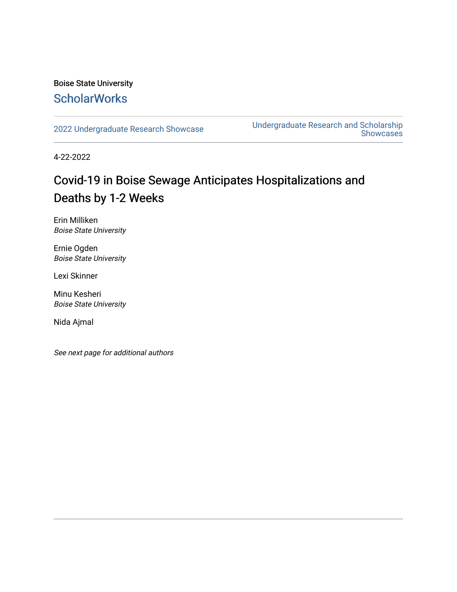### Boise State University **ScholarWorks**

[2022 Undergraduate Research Showcase](https://scholarworks.boisestate.edu/under_showcase_2022) [Undergraduate Research and Scholarship](https://scholarworks.boisestate.edu/under_conference)  [Showcases](https://scholarworks.boisestate.edu/under_conference) 

4-22-2022

### Covid-19 in Boise Sewage Anticipates Hospitalizations and Deaths by 1-2 Weeks

Erin Milliken Boise State University

Ernie Ogden Boise State University

Lexi Skinner

Minu Kesheri Boise State University

Nida Ajmal

See next page for additional authors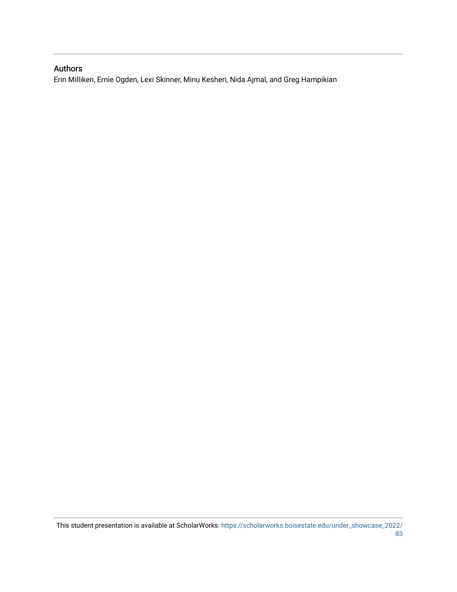### Authors

Erin Milliken, Ernie Ogden, Lexi Skinner, Minu Kesheri, Nida Ajmal, and Greg Hampikian

This student presentation is available at ScholarWorks: [https://scholarworks.boisestate.edu/under\\_showcase\\_2022/](https://scholarworks.boisestate.edu/under_showcase_2022/83) [83](https://scholarworks.boisestate.edu/under_showcase_2022/83)